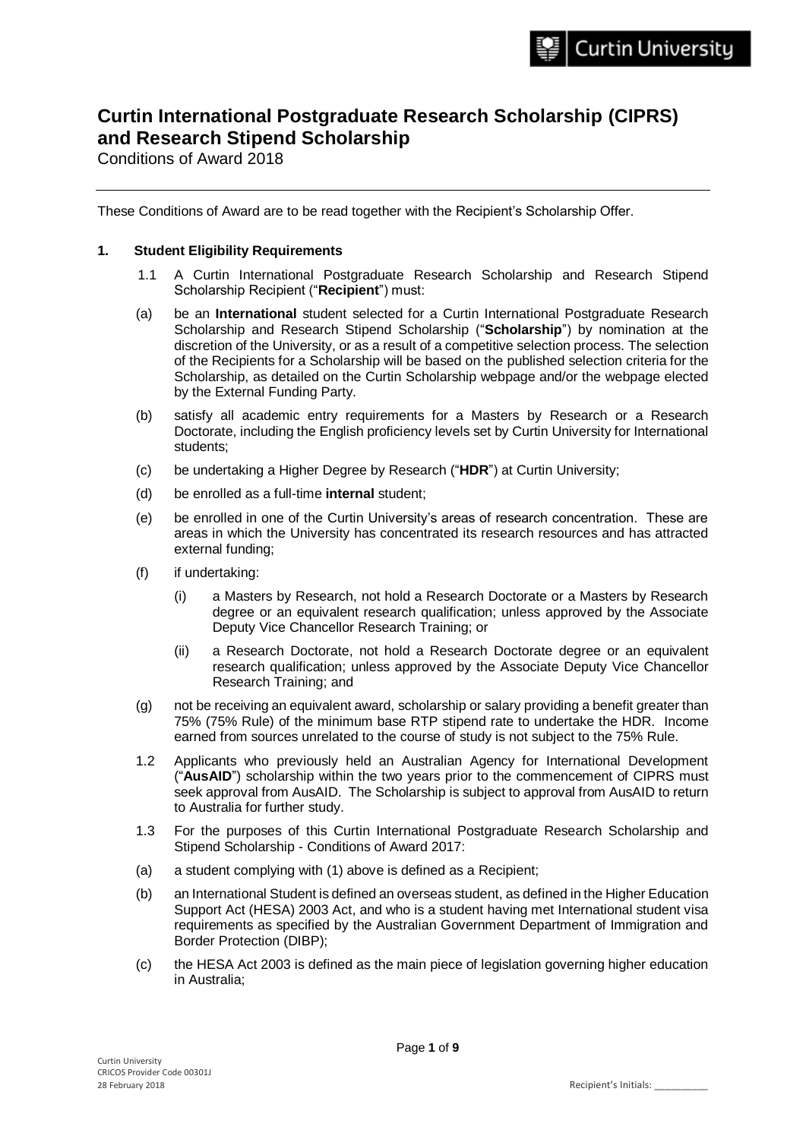# **Curtin International Postgraduate Research Scholarship (CIPRS) and Research Stipend Scholarship**

Conditions of Award 2018

These Conditions of Award are to be read together with the Recipient's Scholarship Offer.

## **1. Student Eligibility Requirements**

- 1.1 A Curtin International Postgraduate Research Scholarship and Research Stipend Scholarship Recipient ("**Recipient**") must:
- (a) be an **International** student selected for a Curtin International Postgraduate Research Scholarship and Research Stipend Scholarship ("**Scholarship**") by nomination at the discretion of the University, or as a result of a competitive selection process. The selection of the Recipients for a Scholarship will be based on the published selection criteria for the Scholarship, as detailed on the Curtin Scholarship webpage and/or the webpage elected by the External Funding Party.
- (b) satisfy all academic entry requirements for a Masters by Research or a Research Doctorate, including the English proficiency levels set by Curtin University for International students;
- (c) be undertaking a Higher Degree by Research ("**HDR**") at Curtin University;
- (d) be enrolled as a full-time **internal** student;
- (e) be enrolled in one of the Curtin University's areas of research concentration. These are areas in which the University has concentrated its research resources and has attracted external funding;
- (f) if undertaking:
	- (i) a Masters by Research, not hold a Research Doctorate or a Masters by Research degree or an equivalent research qualification; unless approved by the Associate Deputy Vice Chancellor Research Training; or
	- (ii) a Research Doctorate, not hold a Research Doctorate degree or an equivalent research qualification; unless approved by the Associate Deputy Vice Chancellor Research Training; and
- (g) not be receiving an equivalent award, scholarship or salary providing a benefit greater than 75% (75% Rule) of the minimum base RTP stipend rate to undertake the HDR. Income earned from sources unrelated to the course of study is not subject to the 75% Rule.
- 1.2 Applicants who previously held an Australian Agency for International Development ("**AusAID**") scholarship within the two years prior to the commencement of CIPRS must seek approval from AusAID. The Scholarship is subject to approval from AusAID to return to Australia for further study.
- 1.3 For the purposes of this Curtin International Postgraduate Research Scholarship and Stipend Scholarship - Conditions of Award 2017:
- (a) a student complying with (1) above is defined as a Recipient;
- (b) an International Student is defined an overseas student, as defined in the Higher Education Support Act (HESA) 2003 Act, and who is a student having met International student visa requirements as specified by the Australian Government Department of Immigration and Border Protection (DIBP);
- (c) the HESA Act 2003 is defined as the main piece of legislation governing higher education in Australia;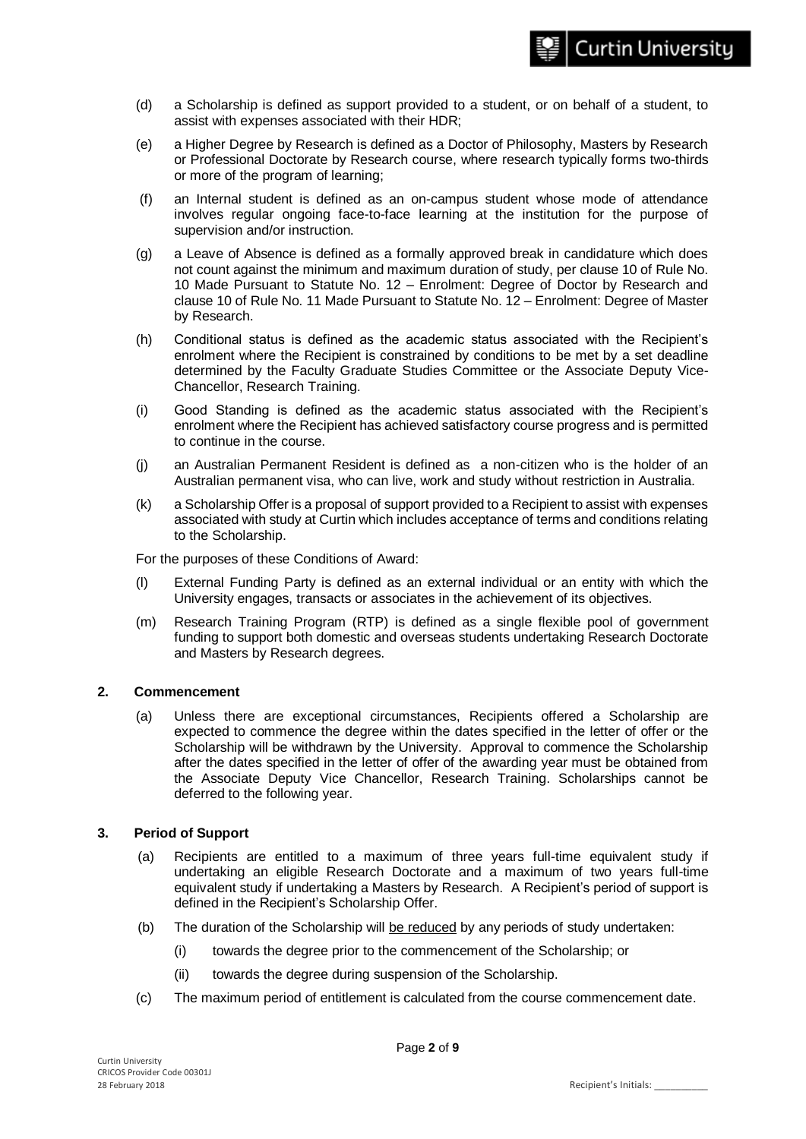- (d) a Scholarship is defined as support provided to a student, or on behalf of a student, to assist with expenses associated with their HDR;
- (e) a Higher Degree by Research is defined as a Doctor of Philosophy, Masters by Research or Professional Doctorate by Research course, where research typically forms two-thirds or more of the program of learning;
- (f) an Internal student is defined as an on-campus student whose mode of attendance involves regular ongoing face-to-face learning at the institution for the purpose of supervision and/or instruction.
- (g) a Leave of Absence is defined as a formally approved break in candidature which does not count against the minimum and maximum duration of study, per clause 10 of Rule No. 10 Made Pursuant to Statute No. 12 – Enrolment: Degree of Doctor by Research and clause 10 of Rule No. 11 Made Pursuant to Statute No. 12 – Enrolment: Degree of Master by Research.
- (h) Conditional status is defined as the academic status associated with the Recipient's enrolment where the Recipient is constrained by conditions to be met by a set deadline determined by the Faculty Graduate Studies Committee or the Associate Deputy Vice-Chancellor, Research Training.
- (i) Good Standing is defined as the academic status associated with the Recipient's enrolment where the Recipient has achieved satisfactory course progress and is permitted to continue in the course.
- (j) an Australian Permanent Resident is defined as a non-citizen who is the holder of an Australian permanent visa, who can live, work and study without restriction in Australia.
- (k) a Scholarship Offer is a proposal of support provided to a Recipient to assist with expenses associated with study at Curtin which includes acceptance of terms and conditions relating to the Scholarship.

For the purposes of these Conditions of Award:

- (l) External Funding Party is defined as an external individual or an entity with which the University engages, transacts or associates in the achievement of its objectives.
- (m) Research Training Program (RTP) is defined as a single flexible pool of government funding to support both domestic and overseas students undertaking Research Doctorate and Masters by Research degrees.

## **2. Commencement**

(a) Unless there are exceptional circumstances, Recipients offered a Scholarship are expected to commence the degree within the dates specified in the letter of offer or the Scholarship will be withdrawn by the University. Approval to commence the Scholarship after the dates specified in the letter of offer of the awarding year must be obtained from the Associate Deputy Vice Chancellor, Research Training. Scholarships cannot be deferred to the following year.

#### **3. Period of Support**

- (a) Recipients are entitled to a maximum of three years full-time equivalent study if undertaking an eligible Research Doctorate and a maximum of two years full-time equivalent study if undertaking a Masters by Research. A Recipient's period of support is defined in the Recipient's Scholarship Offer.
- (b) The duration of the Scholarship will be reduced by any periods of study undertaken:
	- (i) towards the degree prior to the commencement of the Scholarship; or
	- (ii) towards the degree during suspension of the Scholarship.
- (c) The maximum period of entitlement is calculated from the course commencement date.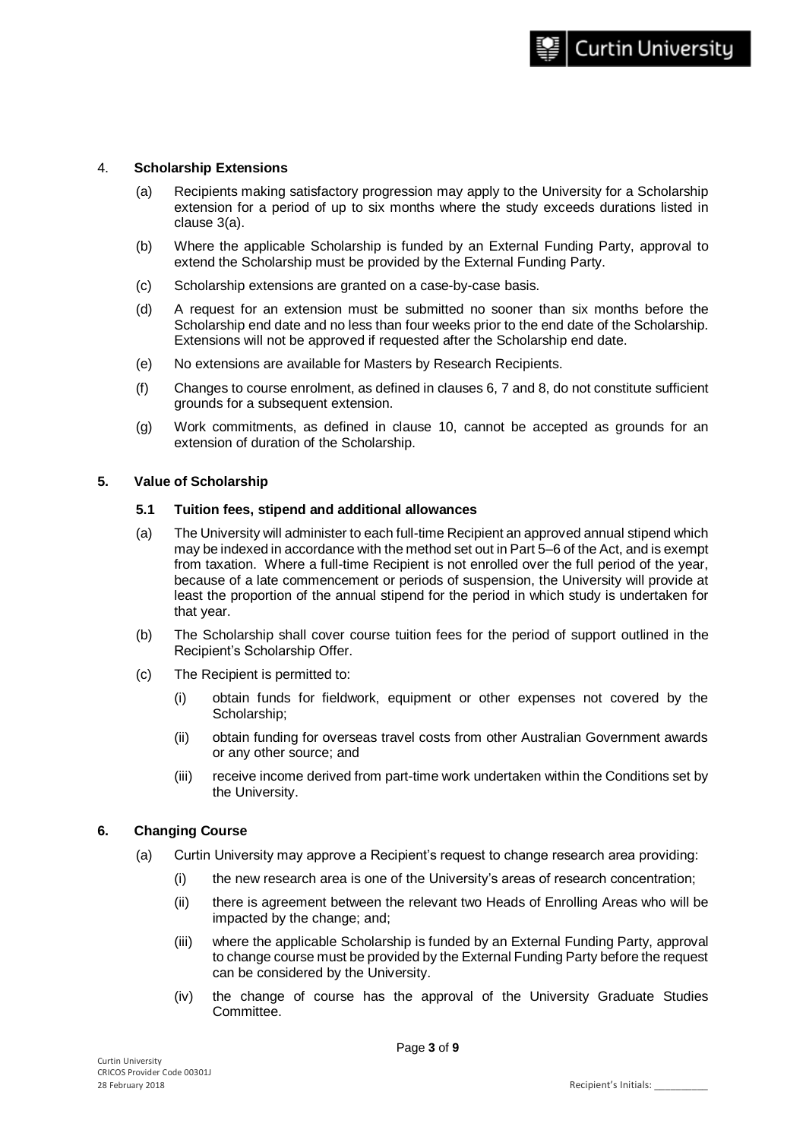#### 4. **Scholarship Extensions**

- (a) Recipients making satisfactory progression may apply to the University for a Scholarship extension for a period of up to six months where the study exceeds durations listed in clause 3(a).
- (b) Where the applicable Scholarship is funded by an External Funding Party, approval to extend the Scholarship must be provided by the External Funding Party.
- (c) Scholarship extensions are granted on a case-by-case basis.
- (d) A request for an extension must be submitted no sooner than six months before the Scholarship end date and no less than four weeks prior to the end date of the Scholarship. Extensions will not be approved if requested after the Scholarship end date.
- (e) No extensions are available for Masters by Research Recipients.
- (f) Changes to course enrolment, as defined in clauses 6, 7 and 8, do not constitute sufficient grounds for a subsequent extension.
- (g) Work commitments, as defined in clause 10, cannot be accepted as grounds for an extension of duration of the Scholarship.

#### **5. Value of Scholarship**

#### **5.1 Tuition fees, stipend and additional allowances**

- (a) The University will administer to each full-time Recipient an approved annual stipend which may be indexed in accordance with the method set out in Part 5–6 of the Act, and is exempt from taxation. Where a full-time Recipient is not enrolled over the full period of the year, because of a late commencement or periods of suspension, the University will provide at least the proportion of the annual stipend for the period in which study is undertaken for that year.
- (b) The Scholarship shall cover course tuition fees for the period of support outlined in the Recipient's Scholarship Offer.
- (c) The Recipient is permitted to:
	- (i) obtain funds for fieldwork, equipment or other expenses not covered by the Scholarship;
	- (ii) obtain funding for overseas travel costs from other Australian Government awards or any other source; and
	- (iii) receive income derived from part-time work undertaken within the Conditions set by the University.

#### **6. Changing Course**

- (a) Curtin University may approve a Recipient's request to change research area providing:
	- (i) the new research area is one of the University's areas of research concentration;
	- (ii) there is agreement between the relevant two Heads of Enrolling Areas who will be impacted by the change; and;
	- (iii) where the applicable Scholarship is funded by an External Funding Party, approval to change course must be provided by the External Funding Party before the request can be considered by the University.
	- (iv) the change of course has the approval of the University Graduate Studies Committee.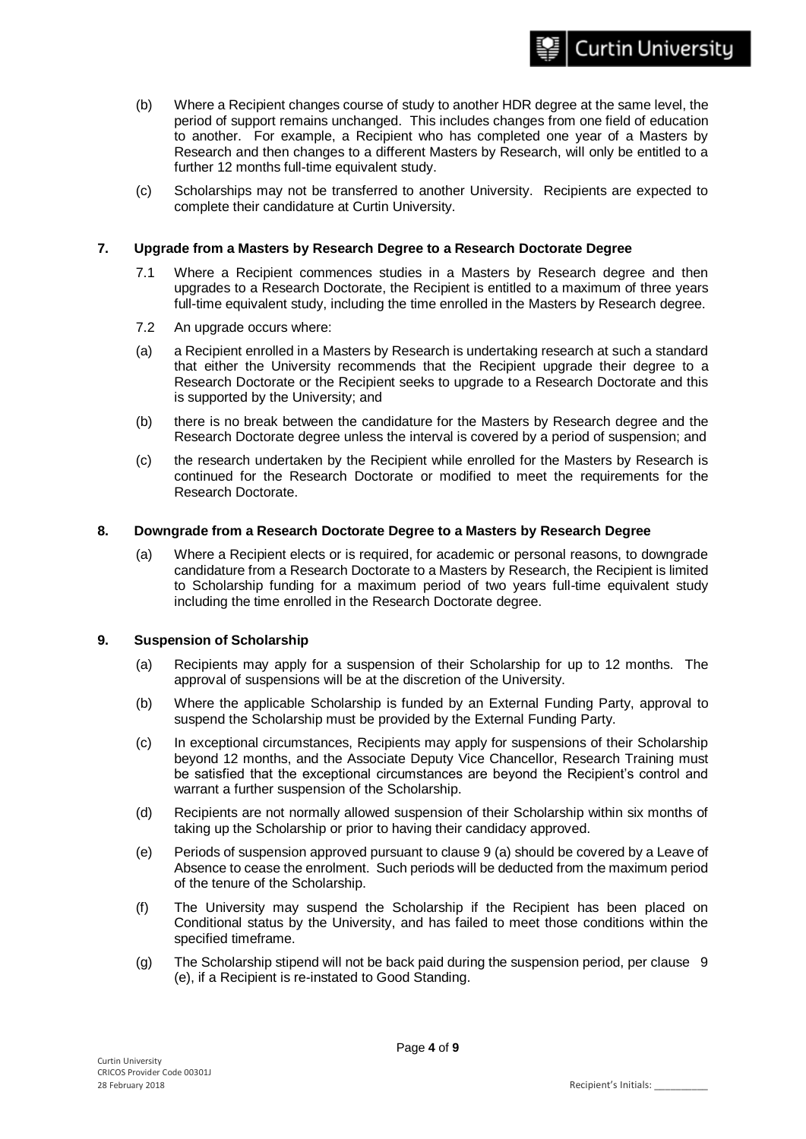- (b) Where a Recipient changes course of study to another HDR degree at the same level, the period of support remains unchanged. This includes changes from one field of education to another. For example, a Recipient who has completed one year of a Masters by Research and then changes to a different Masters by Research, will only be entitled to a further 12 months full-time equivalent study.
- (c) Scholarships may not be transferred to another University. Recipients are expected to complete their candidature at Curtin University.

## **7. Upgrade from a Masters by Research Degree to a Research Doctorate Degree**

- 7.1 Where a Recipient commences studies in a Masters by Research degree and then upgrades to a Research Doctorate, the Recipient is entitled to a maximum of three years full-time equivalent study, including the time enrolled in the Masters by Research degree.
- 7.2 An upgrade occurs where:
- (a) a Recipient enrolled in a Masters by Research is undertaking research at such a standard that either the University recommends that the Recipient upgrade their degree to a Research Doctorate or the Recipient seeks to upgrade to a Research Doctorate and this is supported by the University; and
- (b) there is no break between the candidature for the Masters by Research degree and the Research Doctorate degree unless the interval is covered by a period of suspension; and
- (c) the research undertaken by the Recipient while enrolled for the Masters by Research is continued for the Research Doctorate or modified to meet the requirements for the Research Doctorate.

#### **8. Downgrade from a Research Doctorate Degree to a Masters by Research Degree**

(a) Where a Recipient elects or is required, for academic or personal reasons, to downgrade candidature from a Research Doctorate to a Masters by Research, the Recipient is limited to Scholarship funding for a maximum period of two years full-time equivalent study including the time enrolled in the Research Doctorate degree.

#### **9. Suspension of Scholarship**

- (a) Recipients may apply for a suspension of their Scholarship for up to 12 months. The approval of suspensions will be at the discretion of the University.
- (b) Where the applicable Scholarship is funded by an External Funding Party, approval to suspend the Scholarship must be provided by the External Funding Party.
- (c) In exceptional circumstances, Recipients may apply for suspensions of their Scholarship beyond 12 months, and the Associate Deputy Vice Chancellor, Research Training must be satisfied that the exceptional circumstances are beyond the Recipient's control and warrant a further suspension of the Scholarship.
- (d) Recipients are not normally allowed suspension of their Scholarship within six months of taking up the Scholarship or prior to having their candidacy approved.
- (e) Periods of suspension approved pursuant to clause 9 (a) should be covered by a Leave of Absence to cease the enrolment. Such periods will be deducted from the maximum period of the tenure of the Scholarship.
- (f) The University may suspend the Scholarship if the Recipient has been placed on Conditional status by the University, and has failed to meet those conditions within the specified timeframe.
- (g) The Scholarship stipend will not be back paid during the suspension period, per clause 9 (e), if a Recipient is re-instated to Good Standing.

**Curtin University**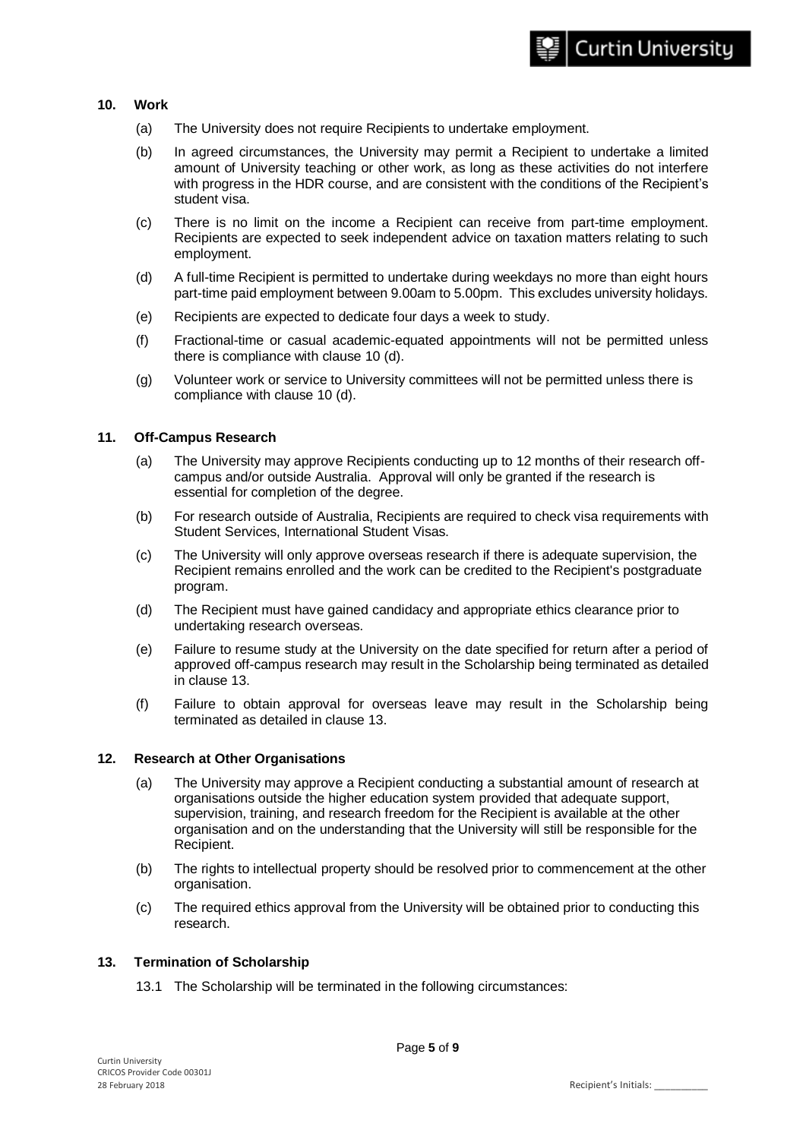## **10. Work**

- (a) The University does not require Recipients to undertake employment.
- (b) In agreed circumstances, the University may permit a Recipient to undertake a limited amount of University teaching or other work, as long as these activities do not interfere with progress in the HDR course, and are consistent with the conditions of the Recipient's student visa.
- (c) There is no limit on the income a Recipient can receive from part-time employment. Recipients are expected to seek independent advice on taxation matters relating to such employment.
- (d) A full-time Recipient is permitted to undertake during weekdays no more than eight hours part-time paid employment between 9.00am to 5.00pm. This excludes university holidays.
- (e) Recipients are expected to dedicate four days a week to study.
- (f) Fractional-time or casual academic-equated appointments will not be permitted unless there is compliance with clause 10 (d).
- (g) Volunteer work or service to University committees will not be permitted unless there is compliance with clause 10 (d).

#### **11. Off-Campus Research**

- (a) The University may approve Recipients conducting up to 12 months of their research offcampus and/or outside Australia. Approval will only be granted if the research is essential for completion of the degree.
- (b) For research outside of Australia, Recipients are required to check visa requirements with Student Services, International Student Visas.
- (c) The University will only approve overseas research if there is adequate supervision, the Recipient remains enrolled and the work can be credited to the Recipient's postgraduate program.
- (d) The Recipient must have gained candidacy and appropriate ethics clearance prior to undertaking research overseas.
- (e) Failure to resume study at the University on the date specified for return after a period of approved off-campus research may result in the Scholarship being terminated as detailed in clause 13.
- (f) Failure to obtain approval for overseas leave may result in the Scholarship being terminated as detailed in clause 13.

#### **12. Research at Other Organisations**

- (a) The University may approve a Recipient conducting a substantial amount of research at organisations outside the higher education system provided that adequate support, supervision, training, and research freedom for the Recipient is available at the other organisation and on the understanding that the University will still be responsible for the Recipient.
- (b) The rights to intellectual property should be resolved prior to commencement at the other organisation.
- (c) The required ethics approval from the University will be obtained prior to conducting this research.

#### **13. Termination of Scholarship**

13.1 The Scholarship will be terminated in the following circumstances: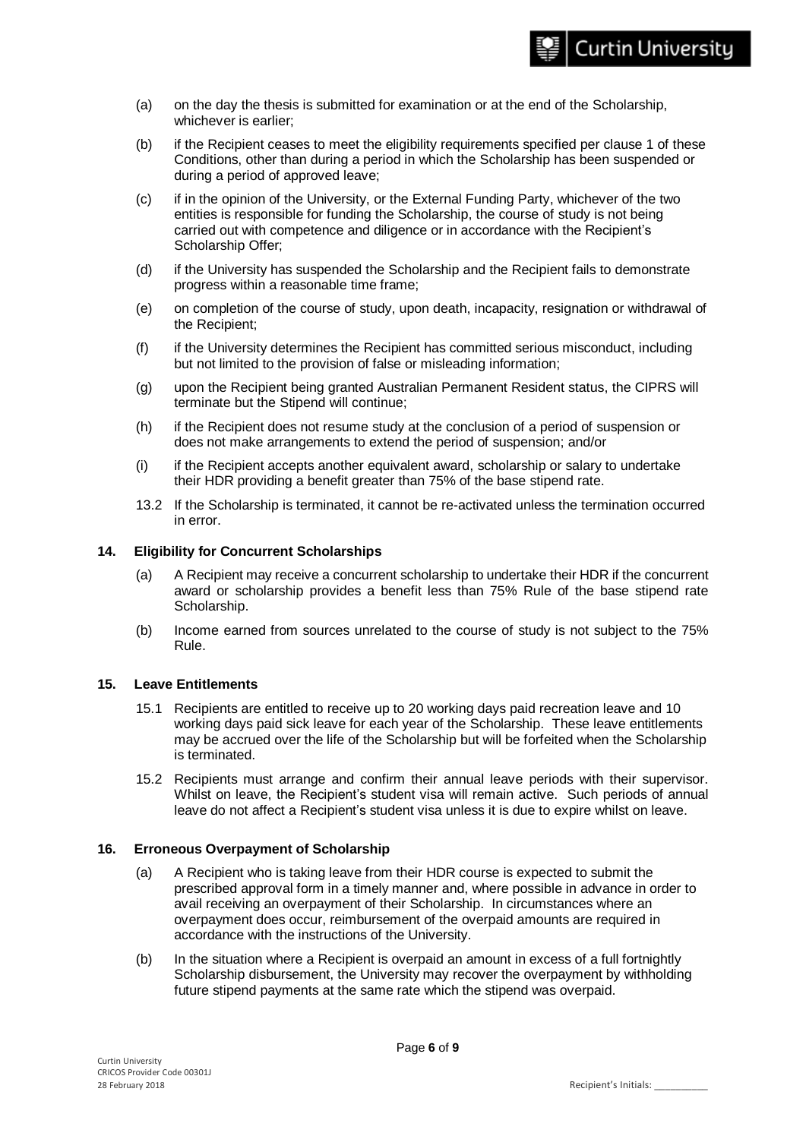- (a) on the day the thesis is submitted for examination or at the end of the Scholarship, whichever is earlier;
- (b) if the Recipient ceases to meet the eligibility requirements specified per clause 1 of these Conditions, other than during a period in which the Scholarship has been suspended or during a period of approved leave;
- (c) if in the opinion of the University, or the External Funding Party, whichever of the two entities is responsible for funding the Scholarship, the course of study is not being carried out with competence and diligence or in accordance with the Recipient's Scholarship Offer;
- (d) if the University has suspended the Scholarship and the Recipient fails to demonstrate progress within a reasonable time frame;
- (e) on completion of the course of study, upon death, incapacity, resignation or withdrawal of the Recipient;
- (f) if the University determines the Recipient has committed serious misconduct, including but not limited to the provision of false or misleading information;
- (g) upon the Recipient being granted Australian Permanent Resident status, the CIPRS will terminate but the Stipend will continue;
- (h) if the Recipient does not resume study at the conclusion of a period of suspension or does not make arrangements to extend the period of suspension; and/or
- (i) if the Recipient accepts another equivalent award, scholarship or salary to undertake their HDR providing a benefit greater than 75% of the base stipend rate.
- 13.2 If the Scholarship is terminated, it cannot be re-activated unless the termination occurred in error.

## **14. Eligibility for Concurrent Scholarships**

- (a) A Recipient may receive a concurrent scholarship to undertake their HDR if the concurrent award or scholarship provides a benefit less than 75% Rule of the base stipend rate Scholarship.
- (b) Income earned from sources unrelated to the course of study is not subject to the 75% Rule.

#### **15. Leave Entitlements**

- 15.1 Recipients are entitled to receive up to 20 working days paid recreation leave and 10 working days paid sick leave for each year of the Scholarship. These leave entitlements may be accrued over the life of the Scholarship but will be forfeited when the Scholarship is terminated.
- 15.2 Recipients must arrange and confirm their annual leave periods with their supervisor. Whilst on leave, the Recipient's student visa will remain active. Such periods of annual leave do not affect a Recipient's student visa unless it is due to expire whilst on leave.

## **16. Erroneous Overpayment of Scholarship**

- (a) A Recipient who is taking leave from their HDR course is expected to submit the prescribed approval form in a timely manner and, where possible in advance in order to avail receiving an overpayment of their Scholarship. In circumstances where an overpayment does occur, reimbursement of the overpaid amounts are required in accordance with the instructions of the University.
- (b) In the situation where a Recipient is overpaid an amount in excess of a full fortnightly Scholarship disbursement, the University may recover the overpayment by withholding future stipend payments at the same rate which the stipend was overpaid.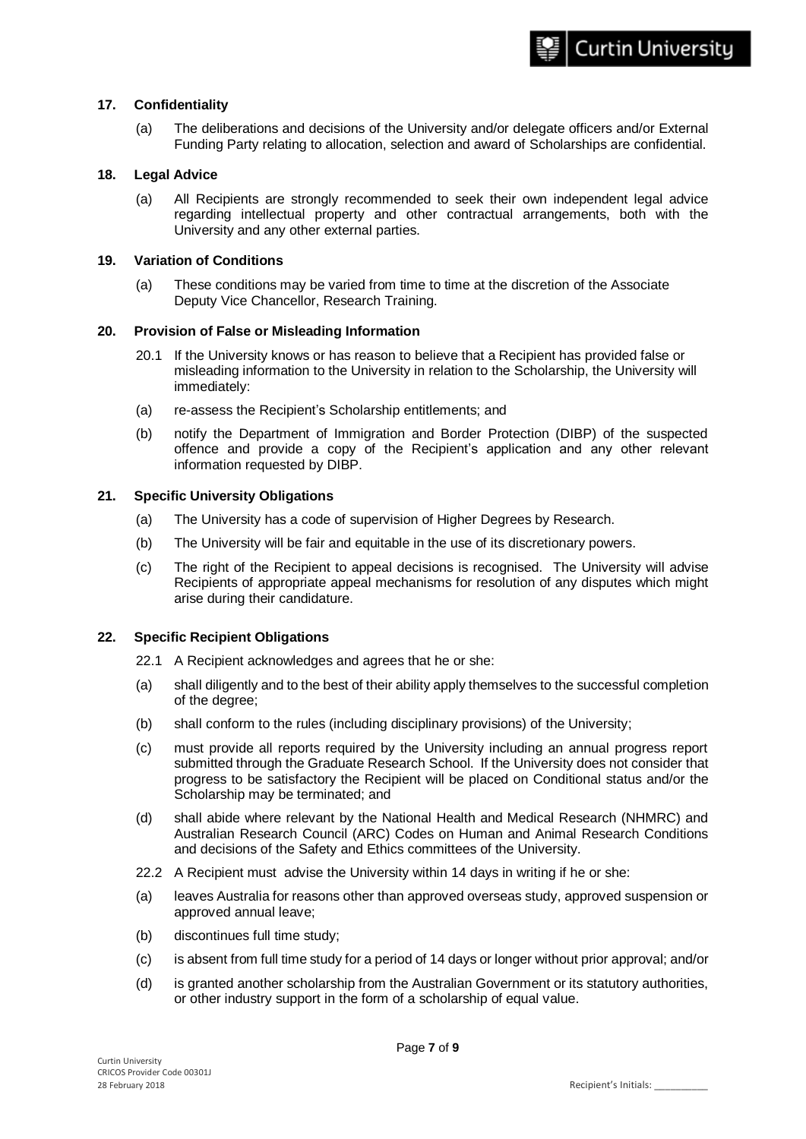#### **17. Confidentiality**

(a) The deliberations and decisions of the University and/or delegate officers and/or External Funding Party relating to allocation, selection and award of Scholarships are confidential.

#### **18. Legal Advice**

(a) All Recipients are strongly recommended to seek their own independent legal advice regarding intellectual property and other contractual arrangements, both with the University and any other external parties.

#### **19. Variation of Conditions**

(a) These conditions may be varied from time to time at the discretion of the Associate Deputy Vice Chancellor, Research Training.

#### **20. Provision of False or Misleading Information**

- 20.1 If the University knows or has reason to believe that a Recipient has provided false or misleading information to the University in relation to the Scholarship, the University will immediately:
- (a) re-assess the Recipient's Scholarship entitlements; and
- (b) notify the Department of Immigration and Border Protection (DIBP) of the suspected offence and provide a copy of the Recipient's application and any other relevant information requested by DIBP.

#### **21. Specific University Obligations**

- (a) The University has a code of supervision of Higher Degrees by Research.
- (b) The University will be fair and equitable in the use of its discretionary powers.
- (c) The right of the Recipient to appeal decisions is recognised. The University will advise Recipients of appropriate appeal mechanisms for resolution of any disputes which might arise during their candidature.

## **22. Specific Recipient Obligations**

- 22.1 A Recipient acknowledges and agrees that he or she:
- (a) shall diligently and to the best of their ability apply themselves to the successful completion of the degree;
- (b) shall conform to the rules (including disciplinary provisions) of the University;
- (c) must provide all reports required by the University including an annual progress report submitted through the Graduate Research School. If the University does not consider that progress to be satisfactory the Recipient will be placed on Conditional status and/or the Scholarship may be terminated; and
- (d) shall abide where relevant by the National Health and Medical Research (NHMRC) and Australian Research Council (ARC) Codes on Human and Animal Research Conditions and decisions of the Safety and Ethics committees of the University.
- 22.2 A Recipient must advise the University within 14 days in writing if he or she:
- (a) leaves Australia for reasons other than approved overseas study, approved suspension or approved annual leave;
- (b) discontinues full time study;
- (c) is absent from full time study for a period of 14 days or longer without prior approval; and/or
- (d) is granted another scholarship from the Australian Government or its statutory authorities, or other industry support in the form of a scholarship of equal value.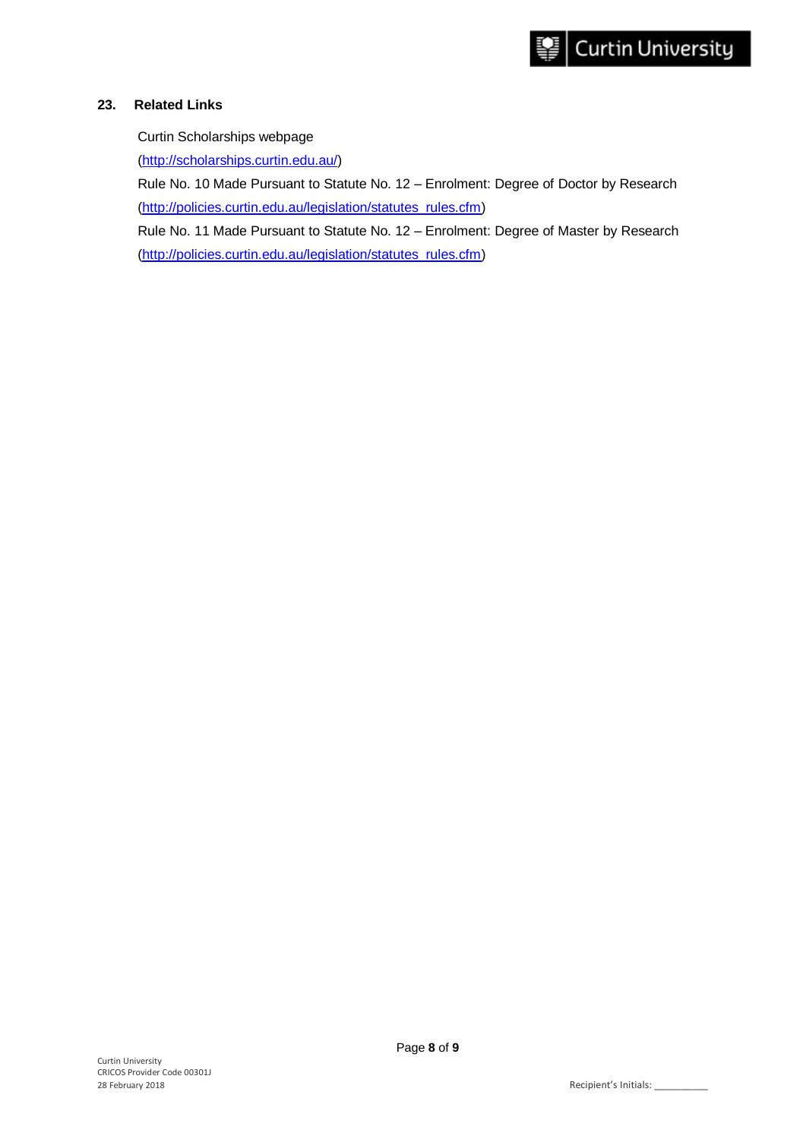## **23. Related Links**

Curtin Scholarships webpage

[\(http://scholarships.curtin.edu.au/\)](http://scholarships.curtin.edu.au/)

Rule No. 10 Made Pursuant to Statute No. 12 – Enrolment: Degree of Doctor by Research [\(http://policies.curtin.edu.au/legislation/statutes\\_rules.cfm\)](http://policies.curtin.edu.au/legislation/statutes_rules.cfm)

Rule No. 11 Made Pursuant to Statute No. 12 – Enrolment: Degree of Master by Research

[\(http://policies.curtin.edu.au/legislation/statutes\\_rules.cfm\)](http://policies.curtin.edu.au/legislation/statutes_rules.cfm)